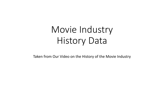# Movie Industry History Data

Taken from Our Video on the History of the Movie Industry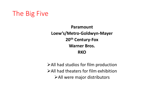

**Paramount Loew's/Metro-Goldwyn-Mayer 20th Century-Fox Warner Bros. RKO**

➢All had studios for film production ➢All had theaters for film exhibition ➢All were major distributors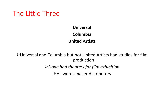

**Universal Columbia United Artists**

➢Universal and Columbia but not United Artists had studios for film production ➢*None had theaters for film exhibition* ➢All were smaller distributors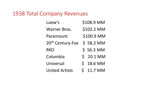# 1938 Total Company Revenues

| Loew's                       | \$108.9 MM              |
|------------------------------|-------------------------|
| <b>Warner Bros.</b>          | \$102.2 MM              |
| Paramount                    | \$100.9 MM              |
| 20 <sup>th</sup> Century-Fox | \$58.2 MM               |
| <b>RKO</b>                   | \$56.3 MM               |
| Columbia                     | \$ 20.1 MM              |
| Universal                    | $\mathsf{S}$<br>18.6 MM |
| <b>United Artists</b>        | $\mathsf{S}$<br>11.7 MM |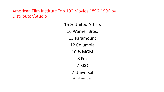American Film Institute Top 100 Movies 1896-1996 by Distributor/Studio

> 16 ½ United Artists 16 Warner Bros. 13 Paramount 12 Columbia 10 ½ MGM 8 Fox 7 RKO 7 Universal  $\frac{1}{2}$  = shared deal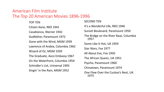### American Film Institute The Top 20 American Movies 1896-1996

TOP TEN Citizen Kane, RKO 1941 Casablanca, Warner 1942 Godfather, Paramount 1972 Gone with the Wind, MGM 1939 Lawrence of Arabia, Columbia 1962 Wizard of Oz, MGM 1939 The Graduate, Avco Embassy 1967 On the Waterfront, Columbia 1954 Schindler's List, Universal 1993 Singin' in the Rain, MGM 1952

SECOND TEN

It's a Wonderful Life, RKO 1946

Sunset Boulevard, Paramount 1950

The Bridge on the River Kwai, Columbia 1957

Some Like It Hot, UA 1959

Star Wars, Fox 1977

All About Eve, Fox 1950

The African Queen, UA 1951

Psycho, Paramount 1960

Chinatown, Paramount 1974

One Flew Over the Cuckoo's Nest, UA 1975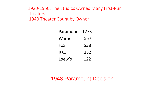### 1920-1950: The Studios Owned Many First-Run **Theaters** 1940 Theater Count by Owner

| Paramount 1273 |     |
|----------------|-----|
| Warner         | 557 |
| Fox            | 538 |
| RKO            | 132 |
| Loew's         | 122 |

## 1948 Paramount Decision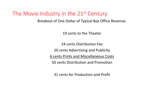### The Movie Industry in the 21<sup>st</sup> Century

Breakout of One Dollar of Typical Box Office Revenue:

19 cents to the Theater

24 cents Distribution Fee

20 cents Advertising and Publicity

6 cents Prints and Miscellaneous Costs

50 cents Distribution and Promotion

31 cents for Production and Profit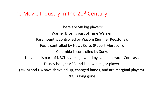# The Movie Industry in the 21<sup>st</sup> Century

There are SIX big players: Warner Bros. is part of Time Warner. Paramount is controlled by Viacom (Sumner Redstone). Fox is controlled by News Corp. (Rupert Murdoch). Columbia is controlled by Sony. Universal is part of NBCUniversal, owned by cable operator Comcast. Disney bought ABC and is now a major player. (MGM and UA have shriveled up, changed hands, and are marginal players). (RKO is long gone.)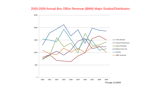#### 2000-2009 Annual Box Office Revenue (\$MM) Major Studios/Distributors

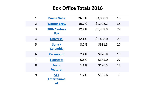### **Box Office Totals 2016**

| $\overline{1}$ | <b>Buena Vista</b>                     | 26.3% | \$3,000.9 | 16             |
|----------------|----------------------------------------|-------|-----------|----------------|
| $\overline{2}$ | <b>Warner Bros.</b>                    | 16.7% | \$1,902.2 | 35             |
| 3              | <b>20th Century</b><br><b>Fox</b>      | 12.9% | \$1,468.9 | 22             |
| $\overline{4}$ | <b>Universal</b>                       | 12.4% | \$1,408.0 | 20             |
| 5              | Sony /<br><b>Columbia</b>              | 8.0%  | \$911.5   | 27             |
| 6              | <b>Paramount</b>                       | 7.7%  | \$876.8   | 18             |
| $\overline{7}$ | <b>Lionsgate</b>                       | 5.8%  | \$665.0   | 27             |
| 8              | <b>Focus</b><br><b>Features</b>        | 1.7%  | \$196.5   | 12             |
| 9              | <b>STX</b><br><b>Entertainme</b><br>nt | 1.7%  | \$195.6   | $\overline{7}$ |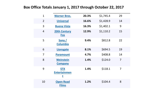### **Box Office Totals January 1, 2017 through October 22, 2017**

| $\mathbf{1}$   | <b>Warner Bros.</b>                           | 20.3% | \$1,745.4 | 29             |
|----------------|-----------------------------------------------|-------|-----------|----------------|
| $\overline{2}$ | <b>Universal</b>                              | 16.6% | \$1,428.9 | 14             |
| 3              | <b>Buena Vista</b>                            | 16.3% | \$1,402.1 | 9              |
| $\overline{4}$ | <b>20th Century</b><br><b>Fox</b>             | 12.9% | \$1,110.2 | 15             |
| 5              | Sony/<br><b>Columbia</b>                      | 9.4%  | \$812.8   | 22             |
| 6              | Lionsgate                                     | 8.1%  | \$694.5   | 19             |
| $\overline{7}$ | <b>Paramount</b>                              | 4.7%  | \$408.8   | 14             |
| 8              | <b>Weinstein</b><br><b>Company</b>            | 1.4%  | \$124.0   | $\overline{7}$ |
| 9              | <b>STX</b><br><b>Entertainmen</b><br><u>t</u> | 1.4%  | \$118.1   | $\overline{7}$ |
| 10             | <b>Open Road</b><br><b>Films</b>              | 1.2%  | \$104.4   | 8              |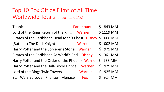# Top 10 Box Office Films of All Time Worldwide Totals (through 11/29/09)

| Titanic                                                    | \$1843 MM  |           |
|------------------------------------------------------------|------------|-----------|
| Lord of the Rings Return of the King                       | Warner     | \$1119 MM |
| Pirates of the Caribbean Dead Man's Chest Disney \$1066 MM |            |           |
| (Batman) The Dark Knight                                   | Warner     | \$1002 MM |
| Harry Potter and the Sorcerer's Stone Warner               |            | $$975$ MM |
| Pirates of the Caribbean At World's End Disney             |            | \$961 MM  |
| Harry Potter and the Order of the Phoenix Warner \$938 MM  |            |           |
| Harry Potter and the Half-Blood Prince Warner              |            | $$929$ MM |
| Lord of the Rings Twin Towers                              | Warner     | $$925$ MM |
| <b>Star Wars Episode I Phantom Menace</b>                  | <b>Fox</b> | \$924 MM  |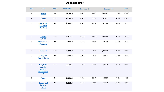#### **Updated 2017**

| Rank                    | <b>Title</b>                                                                              | <b>Studio</b> | <b>Worldwide</b> | Domestic / % |       | Overseas / % |       | Year <sup>^</sup> |
|-------------------------|-------------------------------------------------------------------------------------------|---------------|------------------|--------------|-------|--------------|-------|-------------------|
| $\mathbf{1}$            | <b>Avatar</b>                                                                             | Fox           | \$2,788.0        | \$760.5      | 27.3% | \$2,027.5    | 72.7% | 2009^             |
| $\overline{2}$          | <b>Titanic</b>                                                                            | Par.          | \$2,186.8        | \$658.7      | 30.1% | \$1,528.1    | 69.9% | 1997^             |
| $\overline{\mathbf{3}}$ | <b>Star Wars:</b><br><b>The Force</b><br><b>Awakens</b>                                   | BV            | \$2,068.2        | \$936.7      | 45.3% | \$1,131.6    | 54.7% | 2015              |
| $\overline{4}$          | <b>Jurassic</b><br><b>World</b>                                                           | Uni.          | \$1,671.7        | \$652.3      | 39.0% | \$1,019.4    | 61.0% | 2015              |
| 5                       | <b>Marvel's The</b><br><b>Avengers</b>                                                    | BV            | \$1,518.8        | \$623.4      | 41.0% | \$895.5      | 59.0% | 2012              |
| 6                       | <b>Furious 7</b>                                                                          | Uni.          | \$1,516.0        | \$353.0      | 23.3% | \$1,163.0    | 76.7% | 2015              |
| $\overline{7}$          | <b>Avengers:</b><br><b>Age of Ultron</b>                                                  | BV            | \$1,405.4        | \$459.0      | 32.7% | \$946.4      | 67.3% | 2015              |
| 8                       | <b>Harry Potter</b><br>and the<br><b>Deathly</b><br><b>Hallows Part</b><br>$\overline{2}$ | WB            | \$1,341.5        | \$381.0      | 28.4% | \$960.5      | 71.6% | 2011              |
| 9                       | <b>Frozen</b>                                                                             | BV            | \$1,276.5        | \$400.7      | 31.4% | \$875.7      | 68.6% | 2013              |
| 10                      | <b>Beauty and</b><br>the Beast<br>(2017)                                                  | $\mathsf{BV}$ | \$1,263.5        | \$504.0      | 39.9% | \$759.5      | 60.1% | 2017              |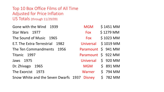Top 10 Box Office Films of All Time Adjusted for Price Inflation US Totals (through 11/29/09)

Gone with the Wind 1939 Star Wars 1977 The Sound of Music 1965 E.T. The Extra-Terrestrial 1982 The Ten Commandments 1956 Titanic 1997 Jaws 1975 Dr. Zhivago 1965 The Exorcist 1973 Snow White and the Seven Dwarfs 1937

| <b>MGM</b> | \$1451 MM                     |
|------------|-------------------------------|
| Fox        | \$1279 MM                     |
| Fox        | \$1023 MM                     |
| Universal  | \$1019 MM                     |
| Paramount  | $\mathsf{S}$<br>941 MM        |
| Paramount  | \$922 MM                      |
| Universal  | \$<br>920 MM                  |
| <b>MGM</b> | $\mathsf{S}$<br><b>891 MM</b> |
| Warner     | $\mathsf{S}$<br>794 MM        |
| Disney     | \$<br><b>782 MM</b>           |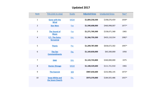#### **Updated 2017**

| Rank           | Title (click to view)                         | <b>Studio</b>  | <b>Adjusted Gross</b> | <b>Unadjusted Gross</b> | Year <sup>^</sup> |
|----------------|-----------------------------------------------|----------------|-----------------------|-------------------------|-------------------|
| $\mathbf{1}$   | <b>Gone with the</b><br><b>Wind</b>           | <b>MGM</b>     | \$1,804,258,500       | \$198,676,459           | 1939^             |
| $\overline{2}$ | <b>Star Wars</b>                              | <b>Fox</b>     | \$1,590,608,000       | \$460,998,007           | 1977^             |
| $\overline{3}$ | <b>The Sound of</b><br><b>Music</b>           | <b>Fox</b>     | \$1,271,769,300       | \$158,671,368           | 1965              |
| $\overline{4}$ | <b>E.T.: The Extra-</b><br><b>Terrestrial</b> | Uni.           | \$1,266,759,200       | \$435,110,554           | 1982^             |
| 5              | <b>Titanic</b>                                | Par.           | \$1,209,787,000       | \$658,672,302           | 1997^             |
| $6\,$          | The Ten<br><b>Commandments</b>                | Par.           | \$1,169,830,000       | \$65,500,000            | 1956              |
| 7              | <b>Jaws</b>                                   | Uni.           | \$1,143,743,800       | \$260,000,000           | 1975              |
| 8              | <b>Doctor Zhivago</b>                         | <b>MGM</b>     | \$1,108,529,600       | \$111,721,910           | 1965              |
| 9              | <b>The Exorcist</b>                           | W <sub>B</sub> | \$987,650,600         | \$232,906,145           | 1973^             |
| 10             | <b>Snow White and</b><br>the Seven Dwarfs     | Dis.           | \$973,370,000         | \$184,925,486           | 1937^             |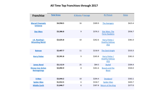#### **All Time Top Franchises through 2017**

| <b>Franchise</b>                                 | <b>Total Gross</b> | # Movies / Average |         | #1 Picture                                       | <b>Gross</b> |
|--------------------------------------------------|--------------------|--------------------|---------|--------------------------------------------------|--------------|
| <b>Marvel Cinematic</b><br><b>Universe</b>       | \$4,958.5          | 16                 | \$309.9 | <b>The Avengers</b>                              | \$623.4      |
| <b>Star Wars</b>                                 | \$3,386.8          | 9                  | \$376.3 | <b>Star Wars: The</b><br><b>Force Awakens</b>    | \$936.7      |
| J.K. Rowling's<br><b>Wizarding World</b>         | \$2,625.8          | 10                 | \$262.6 | Harry Potter /<br><b>Deathly Hallows</b><br>(P2) | \$381.0      |
| <b>Batman</b>                                    | \$2,407.7          | 11                 | \$218.9 | The Dark Knight                                  | \$533.3      |
| <b>Harry Potter</b>                              | \$2,391.8          | 9                  | \$265.8 | Harry Potter /<br><b>Deathly Hallows</b><br>(P2) | \$381.0      |
| <b>James Bond</b>                                | \$2,112.9          | 25                 | \$84.5  | <b>Skyfall</b>                                   | \$304.4      |
| <b>Disney Live Action</b><br><b>Reimaginings</b> | \$2,092.9          | 8                  | \$261.6 | <b>Beauty and the</b><br><b>Beast</b>            | \$504.0      |
| <b>X-Men</b>                                     | \$2,044.2          | 10                 | \$204.4 | Deadpool                                         | \$363.1      |
| <b>Spider-Man</b>                                | \$1,912.5          | 6                  | \$318.7 | Spider-Man                                       | \$403.7      |
| <b>Middle Earth</b>                              | \$1,846.7          | 6                  | \$307.8 | <b>Return of the King</b>                        | \$377.0      |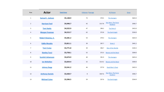| Row                     | <b>Actor</b>              | <b>Total Gross</b> | # Movies / Average |          | #1 Picture                                    | Gross   |
|-------------------------|---------------------------|--------------------|--------------------|----------|-----------------------------------------------|---------|
| $\mathbf{1}$            | <b>Samuel L. Jackson</b>  | \$5,148.9          | 73                 | \$70.5   | <b>The Avengers</b>                           | \$623.4 |
| $\overline{2}$          | <b>Harrison Ford</b>      | \$4,946.7          | 42                 | \$117.8  | <b>Star Wars: The Force</b><br><b>Awakens</b> | \$936.7 |
| 3                       | <b>Tom Hanks</b>          | \$4,522.9          | 47                 | \$96.2   | <b>Toy Story 3</b>                            | \$415.0 |
| $\overline{\mathbf{4}}$ | <b>Morgan Freeman</b>     | \$4,515.7          | 62                 | \$72.8   | The Dark Knight                               | \$534.9 |
| 5                       | <b>Robert Downey, Jr.</b> | \$4,281.2          | 54                 | \$79.3   | <b>The Avengers</b>                           | \$623.4 |
| $\sqrt{6}$              | <b>Eddie Murphy</b>       | \$3,811.1          | 39                 | \$97.7   | Shrek <sub>2</sub>                            | \$441.2 |
| $\overline{7}$          | <b>Tom Cruise</b>         | \$3,771.8          | 39                 | \$96.7   | War of the Worlds                             | \$234.3 |
| 8                       | <b>Stanley Tucci</b>      | \$3,758.1          | 52                 | \$72.3\$ | <b>Beauty and the Beast</b>                   | \$504.0 |
| 9                       | <b>Scarlett Johansson</b> | \$3,674.9          | 40                 | \$91.9   | <b>The Avengers</b>                           | \$623.4 |
| $10\,$                  | <b>Ian McKellen</b>       | \$3,654.4          | 32                 | \$114.2  | <b>Beauty and the Beast</b>                   | \$504.0 |
| $11\,$                  | <b>Johnny Depp</b>        | \$3,541.2          | 46                 | \$77.0   | <b>Dead Man's Chest</b>                       | \$423.3 |
| $12\,$                  | <b>Anthony Daniels</b>    | \$3,420.7          | $\bf 8$            | \$427.6  | <b>Star Wars: The Force</b><br>Awakens        | \$936.7 |
| 13                      | <b>Michael Caine</b>      | \$3,396.5          | 59                 | \$57.6   | <b>The Dark Knight</b>                        | \$534.9 |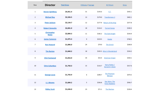| Row            | <b>Director</b>                    | <b>Total Gross</b> | # Movies / Average |         | #1 Picture                                    | Gross   |
|----------------|------------------------------------|--------------------|--------------------|---------|-----------------------------------------------|---------|
| $\mathbf{1}$   | <b>Steven Spielberg</b>            | \$4,451.4          | 31                 | \$143.6 | E.T.                                          | \$435.1 |
| $\overline{2}$ | <b>Michael Bay</b>                 | \$2,326.5          | 13                 | \$179.0 | <b>Transformers 2</b>                         | \$402.1 |
| 3              | <b>Peter Jackson</b>               | \$2,134.7          | 12                 | \$177.9 | <b>Return of the King</b>                     | \$377.8 |
| $\overline{4}$ | <b>Robert Zemeckis</b>             | \$2,091.9          | 18                 | \$116.2 | <b>Forrest Gump</b>                           | \$330.3 |
| 5              | <b>Christopher</b><br><b>Nolan</b> | \$2,004.3          | 11                 | \$182.2 | <b>The Dark Knight</b>                        | \$534.9 |
| 6              | <b>James Cameron</b>               | \$1,975.3          | $\boldsymbol{9}$   | \$219.5 | Avatar                                        | \$760.5 |
| $\overline{7}$ | <b>Ron Howard</b>                  | \$1,896.0          | 24                 | \$79.0  | <b>The Grinch</b>                             | \$260.0 |
| 8              | <b>Tim Burton</b>                  | \$1,840.2          | 18                 |         | \$102.2 Alice in Wonderland                   | \$334.2 |
| 9              | <b>Clint Eastwood</b>              | \$1,816.0          | 34                 | \$53.4  | <b>American Sniper</b>                        | \$350.1 |
| 10             | <b>Chris Columbus</b>              | \$1,750.3          | 15                 | \$116.7 | Harry Potter /<br>Sorcerer's Stone            | \$317.6 |
| 11             | <b>George Lucas</b>                | \$1,743.9          | 6                  | \$290.7 | The Phantom<br><b>Menace</b>                  | \$474.5 |
| 12             | <b>J.J. Abrams</b>                 | \$1,684.2          | 5                  | \$336.8 | <b>Star Wars: The</b><br><b>Force Awakens</b> | \$936.7 |
| 13             | <b>Ridley Scott</b>                | \$1,636.0          | 23                 | \$71.1  | <b>The Martian</b>                            | \$228.4 |